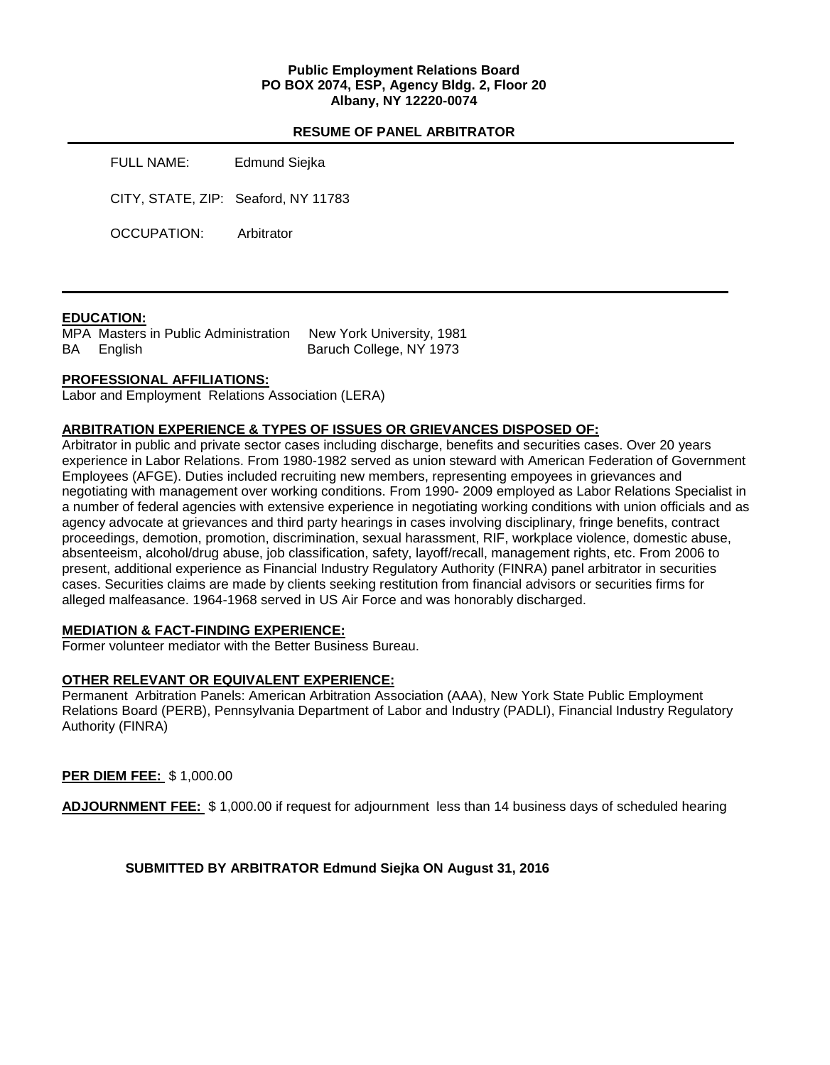## **Public Employment Relations Board PO BOX 2074, ESP, Agency Bldg. 2, Floor 20 Albany, NY 12220-0074**

#### **RESUME OF PANEL ARBITRATOR**

| FULL NAME:                          | Edmund Siejka |
|-------------------------------------|---------------|
| CITY, STATE, ZIP: Seaford, NY 11783 |               |
| OCCUPATION:                         | Arbitrator    |

## **EDUCATION:**

MPA Masters in Public Administration New York University, 1981 BA English Baruch College, NY 1973

## **PROFESSIONAL AFFILIATIONS:**

Labor and Employment Relations Association (LERA)

## **ARBITRATION EXPERIENCE & TYPES OF ISSUES OR GRIEVANCES DISPOSED OF:**

Arbitrator in public and private sector cases including discharge, benefits and securities cases. Over 20 years experience in Labor Relations. From 1980-1982 served as union steward with American Federation of Government Employees (AFGE). Duties included recruiting new members, representing empoyees in grievances and negotiating with management over working conditions. From 1990- 2009 employed as Labor Relations Specialist in a number of federal agencies with extensive experience in negotiating working conditions with union officials and as agency advocate at grievances and third party hearings in cases involving disciplinary, fringe benefits, contract proceedings, demotion, promotion, discrimination, sexual harassment, RIF, workplace violence, domestic abuse, absenteeism, alcohol/drug abuse, job classification, safety, layoff/recall, management rights, etc. From 2006 to present, additional experience as Financial Industry Regulatory Authority (FINRA) panel arbitrator in securities cases. Securities claims are made by clients seeking restitution from financial advisors or securities firms for alleged malfeasance. 1964-1968 served in US Air Force and was honorably discharged.

#### **MEDIATION & FACT-FINDING EXPERIENCE:**

Former volunteer mediator with the Better Business Bureau.

#### **OTHER RELEVANT OR EQUIVALENT EXPERIENCE:**

Permanent Arbitration Panels: American Arbitration Association (AAA), New York State Public Employment Relations Board (PERB), Pennsylvania Department of Labor and Industry (PADLI), Financial Industry Regulatory Authority (FINRA)

## **PER DIEM FEE:** \$ 1,000.00

**ADJOURNMENT FEE:** \$ 1,000.00 if request for adjournment less than 14 business days of scheduled hearing

## **SUBMITTED BY ARBITRATOR Edmund Siejka ON August 31, 2016**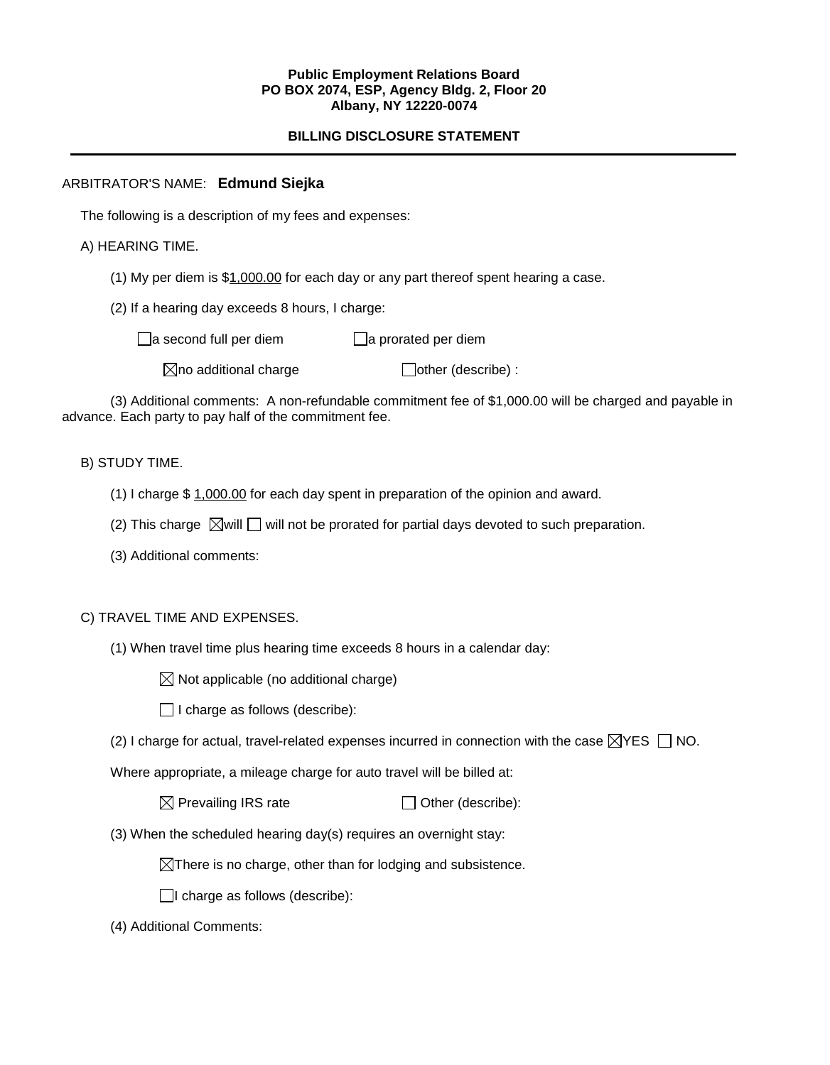#### **Public Employment Relations Board PO BOX 2074, ESP, Agency Bldg. 2, Floor 20 Albany, NY 12220-0074**

# **BILLING DISCLOSURE STATEMENT**

# ARBITRATOR'S NAME: **Edmund Siejka**

The following is a description of my fees and expenses:

A) HEARING TIME.

(1) My per diem is \$1,000.00 for each day or any part thereof spent hearing a case.

(2) If a hearing day exceeds 8 hours, I charge:

 $\Box$ a second full per diem  $\Box$ a prorated per diem

 $\boxtimes$ no additional charge  $\Box$ other (describe) :

(3) Additional comments: A non-refundable commitment fee of \$1,000.00 will be charged and payable in advance. Each party to pay half of the commitment fee.

## B) STUDY TIME.

- (1) I charge \$ 1,000.00 for each day spent in preparation of the opinion and award.
- (2) This charge  $\boxtimes$  will  $\square$  will not be prorated for partial days devoted to such preparation.
- (3) Additional comments:

## C) TRAVEL TIME AND EXPENSES.

(1) When travel time plus hearing time exceeds 8 hours in a calendar day:

 $\boxtimes$  Not applicable (no additional charge)

 $\Box$  I charge as follows (describe):

(2) I charge for actual, travel-related expenses incurred in connection with the case  $\boxtimes$ YES  $\Box$  NO.

Where appropriate, a mileage charge for auto travel will be billed at:

 $\boxtimes$  Prevailing IRS rate  $\Box$  Other (describe):

(3) When the scheduled hearing day(s) requires an overnight stay:

 $\boxtimes$ There is no charge, other than for lodging and subsistence.

 $\Box$ I charge as follows (describe):

(4) Additional Comments: